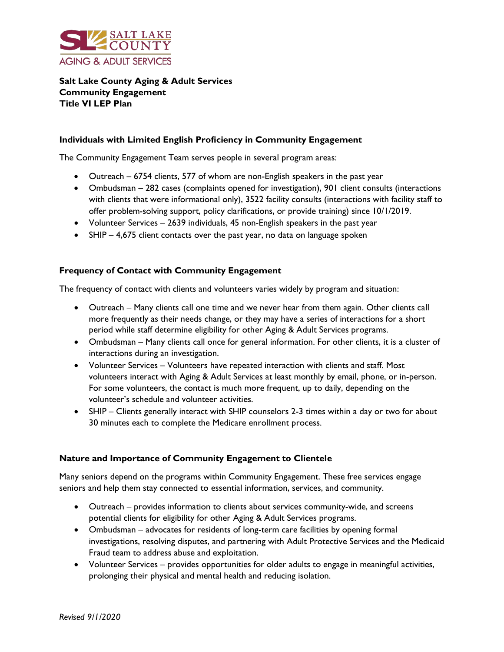

# **Salt Lake County Aging & Adult Services Community Engagement Title VI LEP Plan**

## **Individuals with Limited English Proficiency in Community Engagement**

The Community Engagement Team serves people in several program areas:

- Outreach 6754 clients, 577 of whom are non-English speakers in the past year
- Ombudsman 282 cases (complaints opened for investigation), 901 client consults (interactions with clients that were informational only), 3522 facility consults (interactions with facility staff to offer problem-solving support, policy clarifications, or provide training) since 10/1/2019.
- Volunteer Services 2639 individuals, 45 non-English speakers in the past year
- SHIP 4,675 client contacts over the past year, no data on language spoken

## **Frequency of Contact with Community Engagement**

The frequency of contact with clients and volunteers varies widely by program and situation:

- Outreach Many clients call one time and we never hear from them again. Other clients call more frequently as their needs change, or they may have a series of interactions for a short period while staff determine eligibility for other Aging & Adult Services programs.
- Ombudsman Many clients call once for general information. For other clients, it is a cluster of interactions during an investigation.
- Volunteer Services Volunteers have repeated interaction with clients and staff. Most volunteers interact with Aging & Adult Services at least monthly by email, phone, or in-person. For some volunteers, the contact is much more frequent, up to daily, depending on the volunteer's schedule and volunteer activities.
- SHIP Clients generally interact with SHIP counselors 2-3 times within a day or two for about 30 minutes each to complete the Medicare enrollment process.

### **Nature and Importance of Community Engagement to Clientele**

Many seniors depend on the programs within Community Engagement. These free services engage seniors and help them stay connected to essential information, services, and community.

- Outreach provides information to clients about services community-wide, and screens potential clients for eligibility for other Aging & Adult Services programs.
- Ombudsman advocates for residents of long-term care facilities by opening formal investigations, resolving disputes, and partnering with Adult Protective Services and the Medicaid Fraud team to address abuse and exploitation.
- Volunteer Services provides opportunities for older adults to engage in meaningful activities, prolonging their physical and mental health and reducing isolation.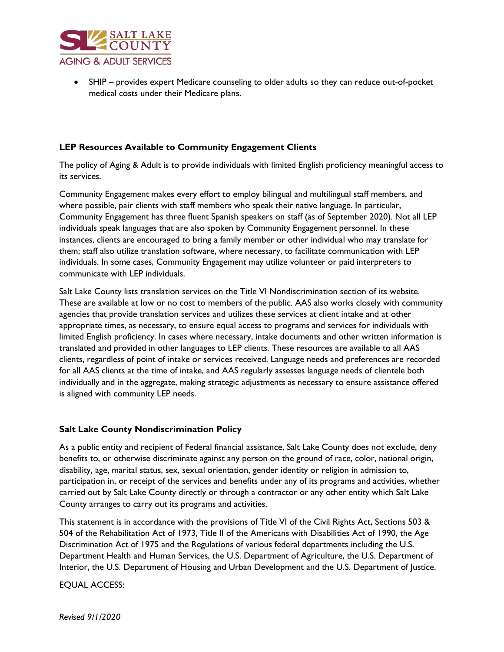

• SHIP – provides expert Medicare counseling to older adults so they can reduce out-of-pocket medical costs under their Medicare plans.

# **LEP Resources Available to Community Engagement Clients**

The policy of Aging & Adult is to provide individuals with limited English proficiency meaningful access to its services.

Community Engagement makes every effort to employ bilingual and multilingual staff members, and where possible, pair clients with staff members who speak their native language. In particular, Community Engagement has three fluent Spanish speakers on staff (as of September 2020). Not all LEP individuals speak languages that are also spoken by Community Engagement personnel. In these instances, clients are encouraged to bring a family member or other individual who may translate for them; staff also utilize translation software, where necessary, to facilitate communication with LEP individuals. In some cases, Community Engagement may utilize volunteer or paid interpreters to communicate with LEP individuals.

Salt Lake County lists translation services on the Title VI Nondiscrimination section of its website. These are available at low or no cost to members of the public. AAS also works closely with community agencies that provide translation services and utilizes these services at client intake and at other appropriate times, as necessary, to ensure equal access to programs and services for individuals with limited English proficiency. In cases where necessary, intake documents and other written information is translated and provided in other languages to LEP clients. These resources are available to all AAS clients, regardless of point of intake or services received. Language needs and preferences are recorded for all AAS clients at the time of intake, and AAS regularly assesses language needs of clientele both individually and in the aggregate, making strategic adjustments as necessary to ensure assistance offered is aligned with community LEP needs.

### **Salt Lake County Nondiscrimination Policy**

As a public entity and recipient of Federal financial assistance, Salt Lake County does not exclude, deny benefits to, or otherwise discriminate against any person on the ground of race, color, national origin, disability, age, marital status, sex, sexual orientation, gender identity or religion in admission to, participation in, or receipt of the services and benefits under any of its programs and activities, whether carried out by Salt Lake County directly or through a contractor or any other entity which Salt Lake County arranges to carry out its programs and activities.

This statement is in accordance with the provisions of Title VI of the Civil Rights Act, Sections 503 & 504 of the Rehabilitation Act of 1973, Title II of the Americans with Disabilities Act of 1990, the Age Discrimination Act of 1975 and the Regulations of various federal departments including the U.S. Department Health and Human Services, the U.S. Department of Agriculture, the U.S. Department of Interior, the U.S. Department of Housing and Urban Development and the U.S. Department of Justice.

EQUAL ACCESS: